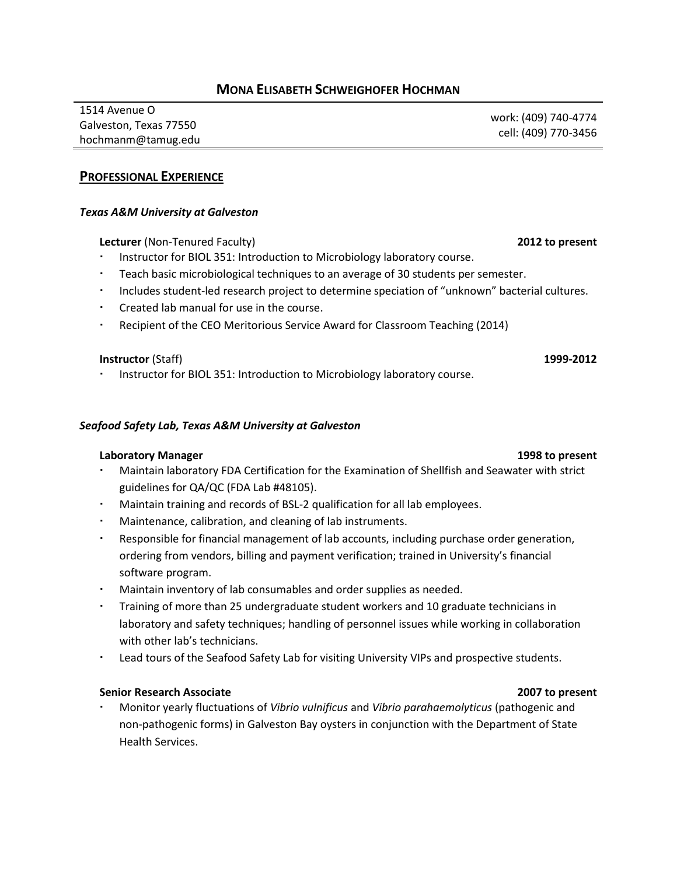# **MONA ELISABETH SCHWEIGHOFER HOCHMAN**

1514 Avenue O Galveston, Texas 77550 hochmanm@tamug.edu work: (409) 740-4774 cell: (409) 770-3456

## **PROFESSIONAL EXPERIENCE**

### *Texas A&M University at Galveston*

**Lecturer** (Non-Tenured Faculty) **2012 to present**

- Instructor for BIOL 351: Introduction to Microbiology laboratory course.
- Teach basic microbiological techniques to an average of 30 students per semester.
- Includes student-led research project to determine speciation of "unknown" bacterial cultures.
- Created lab manual for use in the course.
- Recipient of the CEO Meritorious Service Award for Classroom Teaching (2014)

### **Instructor** (Staff) **1999-2012**

Instructor for BIOL 351: Introduction to Microbiology laboratory course.

### *Seafood Safety Lab, Texas A&M University at Galveston*

### **Laboratory Manager 1998 to present**

- Maintain laboratory FDA Certification for the Examination of Shellfish and Seawater with strict guidelines for QA/QC (FDA Lab #48105).
- Maintain training and records of BSL-2 qualification for all lab employees.
- Maintenance, calibration, and cleaning of lab instruments.
- Responsible for financial management of lab accounts, including purchase order generation, ordering from vendors, billing and payment verification; trained in University's financial software program.
- Maintain inventory of lab consumables and order supplies as needed.
- Training of more than 25 undergraduate student workers and 10 graduate technicians in laboratory and safety techniques; handling of personnel issues while working in collaboration with other lab's technicians.
- Lead tours of the Seafood Safety Lab for visiting University VIPs and prospective students.

### **Senior Research Associate 2007 to present**

 Monitor yearly fluctuations of *Vibrio vulnificus* and *Vibrio parahaemolyticus* (pathogenic and non-pathogenic forms) in Galveston Bay oysters in conjunction with the Department of State Health Services.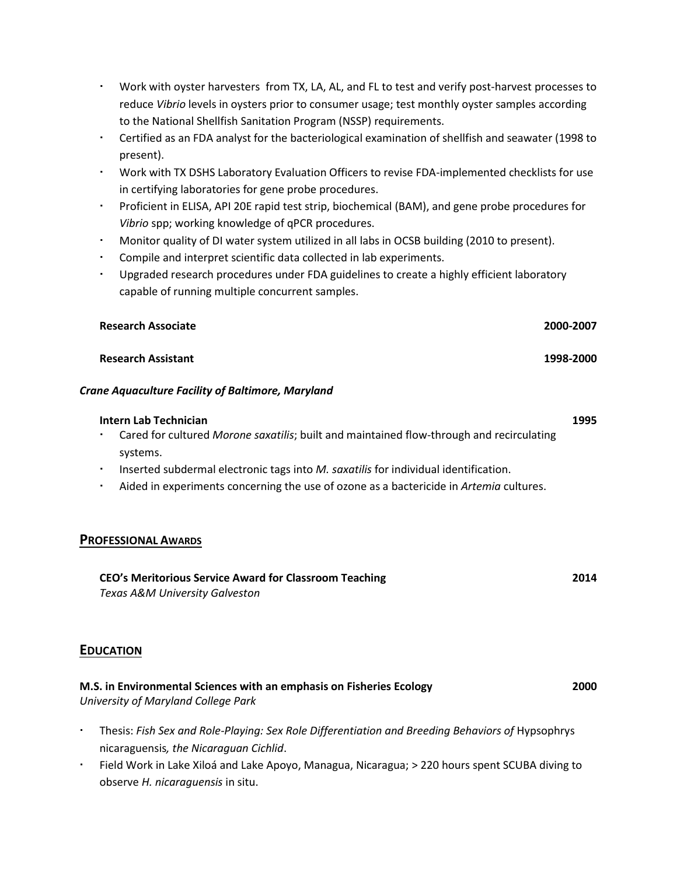- Work with oyster harvesters from TX, LA, AL, and FL to test and verify post-harvest processes to reduce *Vibrio* levels in oysters prior to consumer usage; test monthly oyster samples according to the National Shellfish Sanitation Program (NSSP) requirements.
- Certified as an FDA analyst for the bacteriological examination of shellfish and seawater (1998 to present).
- Work with TX DSHS Laboratory Evaluation Officers to revise FDA-implemented checklists for use in certifying laboratories for gene probe procedures.
- Proficient in ELISA, API 20E rapid test strip, biochemical (BAM), and gene probe procedures for *Vibrio* spp; working knowledge of qPCR procedures.
- Monitor quality of DI water system utilized in all labs in OCSB building (2010 to present).
- Compile and interpret scientific data collected in lab experiments.
- Upgraded research procedures under FDA guidelines to create a highly efficient laboratory capable of running multiple concurrent samples.

| Research Associate        | 2000-2007 |
|---------------------------|-----------|
| <b>Research Assistant</b> | 1998-2000 |

## *Crane Aquaculture Facility of Baltimore, Maryland*

observe *H. nicaraguensis* in situ.

| Intern Lab Technician                                                                                       | 1995 |
|-------------------------------------------------------------------------------------------------------------|------|
| Cared for cultured Morone saxatilis; built and maintained flow-through and recirculating                    |      |
| systems.                                                                                                    |      |
| Inserted subdermal electronic tags into M. saxatilis for individual identification.                         |      |
| Aided in experiments concerning the use of ozone as a bactericide in Artemia cultures.                      |      |
|                                                                                                             |      |
| <b>PROFESSIONAL AWARDS</b>                                                                                  |      |
| CEO's Meritorious Service Award for Classroom Teaching<br>Texas A&M University Galveston                    | 2014 |
| <b>EDUCATION</b>                                                                                            |      |
| M.S. in Environmental Sciences with an emphasis on Fisheries Ecology<br>University of Maryland College Park | 2000 |
| Thesis: Fish Sex and Role-Playing: Sex Role Differentiation and Breeding Behaviors of Hypsophrys<br>٠       |      |
| nicaraguensis, the Nicaraguan Cichlid.                                                                      |      |
| Field Work in Lake Xiloá and Lake Apoyo, Managua, Nicaragua; > 220 hours spent SCUBA diving to              |      |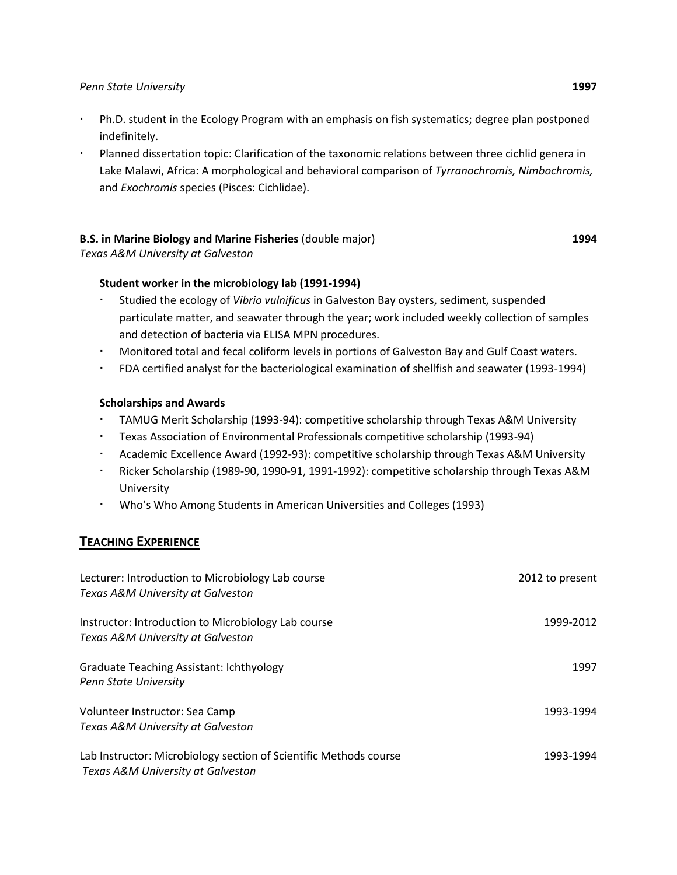### *Penn State University* **1997**

- Ph.D. student in the Ecology Program with an emphasis on fish systematics; degree plan postponed indefinitely.
- Planned dissertation topic: Clarification of the taxonomic relations between three cichlid genera in Lake Malawi, Africa: A morphological and behavioral comparison of *Tyrranochromis, Nimbochromis,* and *Exochromis* species (Pisces: Cichlidae).

## **B.S. in Marine Biology and Marine Fisheries** (double major)

*Texas A&M University at Galveston*

## **Student worker in the microbiology lab (1991-1994)**

- Studied the ecology of *Vibrio vulnificus* in Galveston Bay oysters, sediment, suspended particulate matter, and seawater through the year; work included weekly collection of samples and detection of bacteria via ELISA MPN procedures.
- Monitored total and fecal coliform levels in portions of Galveston Bay and Gulf Coast waters.
- FDA certified analyst for the bacteriological examination of shellfish and seawater (1993-1994)

### **Scholarships and Awards**

- TAMUG Merit Scholarship (1993-94): competitive scholarship through Texas A&M University
- Texas Association of Environmental Professionals competitive scholarship (1993-94)
- Academic Excellence Award (1992-93): competitive scholarship through Texas A&M University
- Ricker Scholarship (1989-90, 1990-91, 1991-1992): competitive scholarship through Texas A&M University
- Who's Who Among Students in American Universities and Colleges (1993)

# **TEACHING EXPERIENCE**

| Lecturer: Introduction to Microbiology Lab course<br>Texas A&M University at Galveston                 | 2012 to present |
|--------------------------------------------------------------------------------------------------------|-----------------|
| Instructor: Introduction to Microbiology Lab course<br>Texas A&M University at Galveston               | 1999-2012       |
| <b>Graduate Teaching Assistant: Ichthyology</b><br>Penn State University                               | 1997            |
| Volunteer Instructor: Sea Camp<br>Texas A&M University at Galveston                                    | 1993-1994       |
| Lab Instructor: Microbiology section of Scientific Methods course<br>Texas A&M University at Galveston | 1993-1994       |

**1994**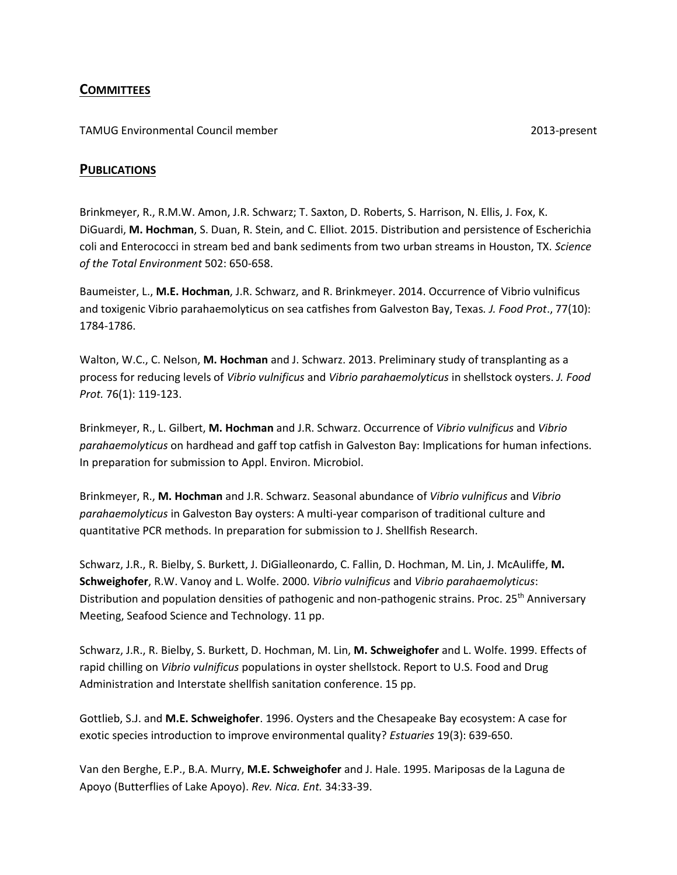# **COMMITTEES**

TAMUG Environmental Council member 2013-present

## **PUBLICATIONS**

Brinkmeyer, R., R.M.W. Amon, J.R. Schwarz; T. Saxton, D. Roberts, S. Harrison, N. Ellis, J. Fox, K. DiGuardi, **M. Hochman**, S. Duan, R. Stein, and C. Elliot. 2015. Distribution and persistence of Escherichia coli and Enterococci in stream bed and bank sediments from two urban streams in Houston, TX. *Science of the Total Environment* 502: 650-658.

Baumeister, L., **M.E. Hochman**, J.R. Schwarz, and R. Brinkmeyer. 2014. Occurrence of Vibrio vulnificus and toxigenic Vibrio parahaemolyticus on sea catfishes from Galveston Bay, Texas*. J. Food Prot*., 77(10): 1784-1786.

Walton, W.C., C. Nelson, **M. Hochman** and J. Schwarz. 2013. Preliminary study of transplanting as a process for reducing levels of *Vibrio vulnificus* and *Vibrio parahaemolyticus* in shellstock oysters. *J. Food Prot.* 76(1): 119-123.

Brinkmeyer, R., L. Gilbert, **M. Hochman** and J.R. Schwarz. Occurrence of *Vibrio vulnificus* and *Vibrio parahaemolyticus* on hardhead and gaff top catfish in Galveston Bay: Implications for human infections. In preparation for submission to Appl. Environ. Microbiol.

Brinkmeyer, R., **M. Hochman** and J.R. Schwarz. Seasonal abundance of *Vibrio vulnificus* and *Vibrio parahaemolyticus* in Galveston Bay oysters: A multi-year comparison of traditional culture and quantitative PCR methods. In preparation for submission to J. Shellfish Research.

Schwarz, J.R., R. Bielby, S. Burkett, J. DiGialleonardo, C. Fallin, D. Hochman, M. Lin, J. McAuliffe, **M. Schweighofer**, R.W. Vanoy and L. Wolfe. 2000. *Vibrio vulnificus* and *Vibrio parahaemolyticus*: Distribution and population densities of pathogenic and non-pathogenic strains. Proc. 25<sup>th</sup> Anniversary Meeting, Seafood Science and Technology. 11 pp.

Schwarz, J.R., R. Bielby, S. Burkett, D. Hochman, M. Lin, **M. Schweighofer** and L. Wolfe. 1999. Effects of rapid chilling on *Vibrio vulnificus* populations in oyster shellstock. Report to U.S. Food and Drug Administration and Interstate shellfish sanitation conference. 15 pp.

Gottlieb, S.J. and **M.E. Schweighofer**. 1996. Oysters and the Chesapeake Bay ecosystem: A case for exotic species introduction to improve environmental quality? *Estuaries* 19(3): 639-650.

Van den Berghe, E.P., B.A. Murry, **M.E. Schweighofer** and J. Hale. 1995. Mariposas de la Laguna de Apoyo (Butterflies of Lake Apoyo). *Rev. Nica. Ent.* 34:33-39.